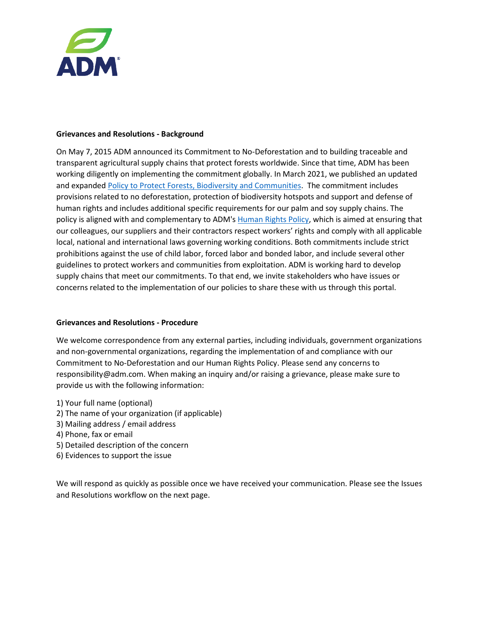

## **Grievances and Resolutions - Background**

On May 7, 2015 ADM announced its Commitment to No-Deforestation and to building traceable and transparent agricultural supply chains that protect forests worldwide. Since that time, ADM has been working diligently on implementing the commitment globally. In March 2021, we published an updated and expanded [Policy to Protect Forests, Biodiversity and Communities.](https://assets.adm.com/Sustainability/ADM-No-Deforestation-Policy_210323_141338.pdf) The commitment includes provisions related to no deforestation, protection of biodiversity hotspots and support and defense of human rights and includes additional specific requirements for our palm and soy supply chains. The policy is aligned with and complementary to ADM's [Human Rights Policy,](https://assets.adm.com/Human-Rights-Policy-2021-update.pdf) which is aimed at ensuring that our colleagues, our suppliers and their contractors respect workers' rights and comply with all applicable local, national and international laws governing working conditions. Both commitments include strict prohibitions against the use of child labor, forced labor and bonded labor, and include several other guidelines to protect workers and communities from exploitation. ADM is working hard to develop supply chains that meet our commitments. To that end, we invite stakeholders who have issues or concerns related to the implementation of our policies to share these with us through this portal.

## **Grievances and Resolutions - Procedure**

We welcome correspondence from any external parties, including individuals, government organizations and non-governmental organizations, regarding the implementation of and compliance with our Commitment to No-Deforestation and our Human Rights Policy. Please send any concerns to responsibility@adm.com. When making an inquiry and/or raising a grievance, please make sure to provide us with the following information:

- 1) Your full name (optional)
- 2) The name of your organization (if applicable)
- 3) Mailing address / email address
- 4) Phone, fax or email
- 5) Detailed description of the concern
- 6) Evidences to support the issue

We will respond as quickly as possible once we have received your communication. Please see the Issues and Resolutions workflow on the next page.